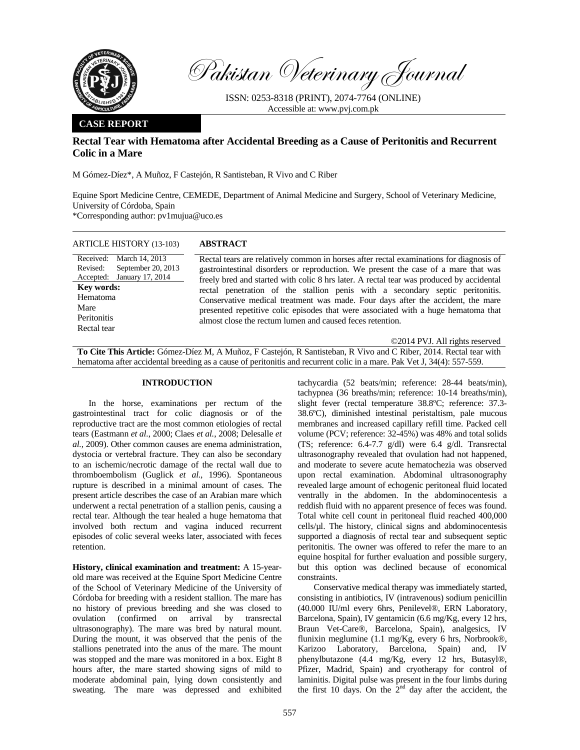

Pakistan Veterinary Journal

ISSN: 0253-8318 (PRINT), 2074-7764 (ONLINE) Accessible at: www.pvj.com.pk

## **CASE REPORT**

# **Rectal Tear with Hematoma after Accidental Breeding as a Cause of Peritonitis and Recurrent Colic in a Mare**

M Gómez-Díez\*, A Muñoz, F Castejón, R Santisteban, R Vivo and C Riber

Equine Sport Medicine Centre, CEMEDE, Department of Animal Medicine and Surgery, School of Veterinary Medicine, University of Córdoba, Spain

\*Corresponding author: pv1mujua@uco.es

ARTICLE HISTORY (13-103) **ABSTRACT** 

| ARTICLE HISTORY (13-103)                                                                                                                                        | ABSTRACT                                                                                                                                                                                                                                                                                                                                                                                                                                                                                                                                                                                         |
|-----------------------------------------------------------------------------------------------------------------------------------------------------------------|--------------------------------------------------------------------------------------------------------------------------------------------------------------------------------------------------------------------------------------------------------------------------------------------------------------------------------------------------------------------------------------------------------------------------------------------------------------------------------------------------------------------------------------------------------------------------------------------------|
| Received: March 14, 2013<br>September 20, 2013<br>Revised:<br>Accepted: January 17, 2014<br><b>Key words:</b><br>Hematoma<br>Mare<br>Peritonitis<br>Rectal tear | Rectal tears are relatively common in horses after rectal examinations for diagnosis of<br>gastrointestinal disorders or reproduction. We present the case of a mare that was<br>freely bred and started with colic 8 hrs later. A rectal tear was produced by accidental<br>rectal penetration of the stallion penis with a secondary septic peritonitis.<br>Conservative medical treatment was made. Four days after the accident, the mare<br>presented repetitive colic episodes that were associated with a huge hematoma that<br>almost close the rectum lumen and caused feces retention. |
|                                                                                                                                                                 | ©2014 PVJ. All rights reserved                                                                                                                                                                                                                                                                                                                                                                                                                                                                                                                                                                   |

**To Cite This Article:** Gómez-Díez M, A Muñoz, F Castejón, R Santisteban, R Vivo and C Riber, 2014. Rectal tear with hematoma after accidental breeding as a cause of peritonitis and recurrent colic in a mare. Pak Vet J, 34(4): 557-559.

### **INTRODUCTION**

In the horse, examinations per rectum of the gastrointestinal tract for colic diagnosis or of the reproductive tract are the most common etiologies of rectal tears (Eastmann *et al.*, 2000; Claes *et al.*, 2008; Delesalle *et al.,* 2009). Other common causes are enema administration, dystocia or vertebral fracture. They can also be secondary to an ischemic/necrotic damage of the rectal wall due to thromboembolism (Guglick *et al.*, 1996). Spontaneous rupture is described in a minimal amount of cases. The present article describes the case of an Arabian mare which underwent a rectal penetration of a stallion penis, causing a rectal tear. Although the tear healed a huge hematoma that involved both rectum and vagina induced recurrent episodes of colic several weeks later, associated with feces retention.

**History, clinical examination and treatment:** A 15-yearold mare was received at the Equine Sport Medicine Centre of the School of Veterinary Medicine of the University of Córdoba for breeding with a resident stallion. The mare has no history of previous breeding and she was closed to ovulation (confirmed on arrival by transrectal ultrasonography). The mare was bred by natural mount. During the mount, it was observed that the penis of the stallions penetrated into the anus of the mare. The mount was stopped and the mare was monitored in a box. Eight 8 hours after, the mare started showing signs of mild to moderate abdominal pain, lying down consistently and sweating. The mare was depressed and exhibited

tachycardia (52 beats/min; reference: 28-44 beats/min), tachypnea (36 breaths/min; reference: 10-14 breaths/min), slight fever (rectal temperature 38.8ºC; reference: 37.3- 38.6ºC), diminished intestinal peristaltism, pale mucous membranes and increased capillary refill time. Packed cell volume (PCV; reference: 32-45%) was 48% and total solids (TS; reference: 6.4-7.7 g/dl) were 6.4 g/dl. Transrectal ultrasonography revealed that ovulation had not happened, and moderate to severe acute hematochezia was observed upon rectal examination. Abdominal ultrasonography revealed large amount of echogenic peritoneal fluid located ventrally in the abdomen. In the abdominocentesis a reddish fluid with no apparent presence of feces was found. Total white cell count in peritoneal fluid reached 400,000 cells/µl. The history, clinical signs and abdominocentesis supported a diagnosis of rectal tear and subsequent septic peritonitis. The owner was offered to refer the mare to an equine hospital for further evaluation and possible surgery, but this option was declined because of economical constraints.

Conservative medical therapy was immediately started, consisting in antibiotics, IV (intravenous) sodium penicillin (40.000 IU/ml every 6hrs, Penilevel®, ERN Laboratory, Barcelona, Spain), IV gentamicin (6.6 mg/Kg, every 12 hrs, Braun Vet-Care®, Barcelona, Spain), analgesics, IV flunixin meglumine (1.1 mg/Kg, every 6 hrs, Norbrook®, Karizoo Laboratory, Barcelona, Spain) and, IV phenylbutazone (4.4 mg/Kg, every 12 hrs, Butasyl®, Pfizer, Madrid, Spain) and cryotherapy for control of laminitis. Digital pulse was present in the four limbs during the first 10 days. On the  $2<sup>nd</sup>$  day after the accident, the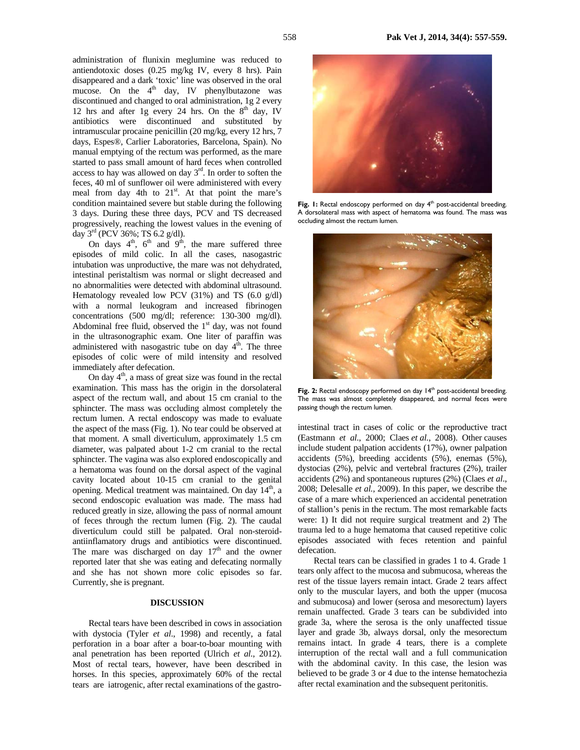administration of flunixin meglumine was reduced to antiendotoxic doses (0.25 mg/kg IV, every 8 hrs). Pain disappeared and a dark 'toxic' line was observed in the oral mucose. On the  $4<sup>th</sup>$  day, IV phenylbutazone was discontinued and changed to oral administration, 1g 2 every 12 hrs and after 1g every 24 hrs. On the  $8<sup>th</sup>$  day, IV antibiotics were discontinued and substituted by intramuscular procaine penicillin (20 mg/kg, every 12 hrs, 7 days, Espes®, Carlier Laboratories, Barcelona, Spain). No manual emptying of the rectum was performed, as the mare started to pass small amount of hard feces when controlled access to hay was allowed on day  $3<sup>rd</sup>$ . In order to soften the feces, 40 ml of sunflower oil were administered with every meal from day 4th to  $21<sup>st</sup>$ . At that point the mare's condition maintained severe but stable during the following 3 days. During these three days, PCV and TS decreased progressively, reaching the lowest values in the evening of day 3rd (PCV 36%; TS 6.2 g/dl).

On days  $4^{\text{th}}$ ,  $6^{\text{th}}$  and  $9^{\text{th}}$ , the mare suffered three episodes of mild colic. In all the cases, nasogastric intubation was unproductive, the mare was not dehydrated, intestinal peristaltism was normal or slight decreased and no abnormalities were detected with abdominal ultrasound. Hematology revealed low PCV (31%) and TS (6.0 g/dl) with a normal leukogram and increased fibrinogen concentrations (500 mg/dl; reference: 130-300 mg/dl). Abdominal free fluid, observed the  $1<sup>st</sup>$  day, was not found in the ultrasonographic exam. One liter of paraffin was administered with nasogastric tube on day  $4<sup>th</sup>$ . The three episodes of colic were of mild intensity and resolved immediately after defecation.

On day  $4<sup>th</sup>$ , a mass of great size was found in the rectal examination. This mass has the origin in the dorsolateral aspect of the rectum wall, and about 15 cm cranial to the sphincter. The mass was occluding almost completely the rectum lumen. A rectal endoscopy was made to evaluate the aspect of the mass (Fig. 1). No tear could be observed at that moment. A small diverticulum, approximately 1.5 cm diameter, was palpated about 1-2 cm cranial to the rectal sphincter. The vagina was also explored endoscopically and a hematoma was found on the dorsal aspect of the vaginal cavity located about 10-15 cm cranial to the genital opening. Medical treatment was maintained. On day 14<sup>th</sup>, a second endoscopic evaluation was made. The mass had reduced greatly in size, allowing the pass of normal amount of feces through the rectum lumen (Fig. 2). The caudal diverticulum could still be palpated. Oral non-steroidantiinflamatory drugs and antibiotics were discontinued. The mare was discharged on day  $17<sup>th</sup>$  and the owner reported later that she was eating and defecating normally and she has not shown more colic episodes so far. Currently, she is pregnant.

### **DISCUSSION**

Rectal tears have been described in cows in association with dystocia (Tyler *et al*., 1998) and recently, a fatal perforation in a boar after a boar-to-boar mounting with anal penetration has been reported (Ulrich *et al.*, 2012). Most of rectal tears, however, have been described in horses. In this species, approximately 60% of the rectal tears are iatrogenic, after rectal examinations of the gastro-



Fig. 1: Rectal endoscopy performed on day 4<sup>th</sup> post-accidental breeding. A dorsolateral mass with aspect of hematoma was found. The mass was occluding almost the rectum lumen.



Fig. 2: Rectal endoscopy performed on day 14<sup>th</sup> post-accidental breeding. The mass was almost completely disappeared, and normal feces were passing though the rectum lumen.

intestinal tract in cases of colic or the reproductive tract (Eastmann *et al.*, 2000; Claes *et al.*, 2008). Other causes include student palpation accidents (17%), owner palpation accidents (5%), breeding accidents (5%), enemas (5%), dystocias (2%), pelvic and vertebral fractures (2%), trailer accidents (2%) and spontaneous ruptures (2%) (Claes *et al*., 2008; Delesalle *et al.,* 2009). In this paper, we describe the case of a mare which experienced an accidental penetration of stallion's penis in the rectum. The most remarkable facts were: 1) It did not require surgical treatment and 2) The trauma led to a huge hematoma that caused repetitive colic episodes associated with feces retention and painful defecation.

Rectal tears can be classified in grades 1 to 4. Grade 1 tears only affect to the mucosa and submucosa, whereas the rest of the tissue layers remain intact. Grade 2 tears affect only to the muscular layers, and both the upper (mucosa and submucosa) and lower (serosa and mesorectum) layers remain unaffected. Grade 3 tears can be subdivided into grade 3a, where the serosa is the only unaffected tissue layer and grade 3b, always dorsal, only the mesorectum remains intact. In grade 4 tears, there is a complete interruption of the rectal wall and a full communication with the abdominal cavity. In this case, the lesion was believed to be grade 3 or 4 due to the intense hematochezia after rectal examination and the subsequent peritonitis.